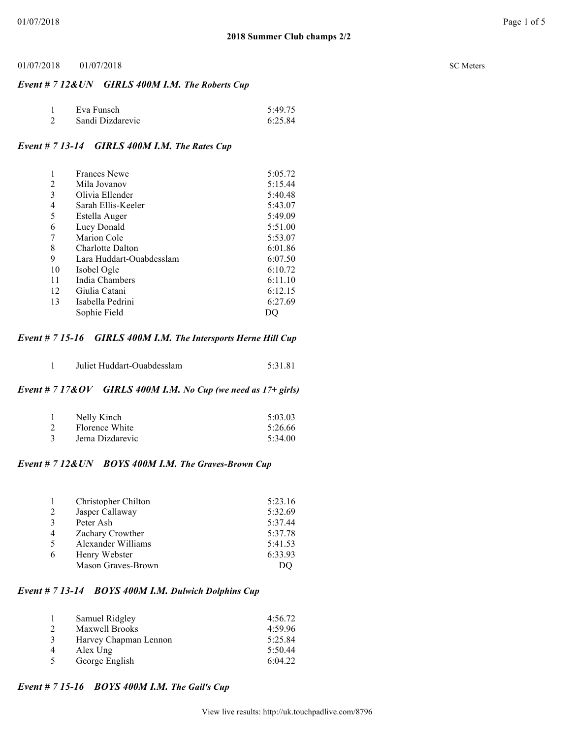## *Event # 7 12&UN GIRLS 400M I.M. The Roberts Cup*

| Eva Funsch       | 5:49.75 |
|------------------|---------|
| Sandi Dizdarevic | 6:25.84 |

# *Event # 7 13-14 GIRLS 400M I.M. The Rates Cup*

|    | <b>Frances Newe</b>      | 5:05.72 |
|----|--------------------------|---------|
| 2  | Mila Jovanov             | 5:15.44 |
| 3  | Olivia Ellender          | 5:40.48 |
| 4  | Sarah Ellis-Keeler       | 5:43.07 |
| 5  | Estella Auger            | 5:49.09 |
| 6  | Lucy Donald              | 5:51.00 |
|    | Marion Cole              | 5:53.07 |
| 8  | Charlotte Dalton         | 6:01.86 |
| 9  | Lara Huddart-Ouabdesslam | 6:07.50 |
| 10 | Isobel Ogle              | 6:10.72 |
| 11 | India Chambers           | 6:11.10 |
| 12 | Giulia Catani            | 6:12.15 |
| 13 | Isabella Pedrini         | 6:27.69 |
|    | Sophie Field             |         |
|    |                          |         |

## *Event # 7 15-16 GIRLS 400M I.M. The Intersports Herne Hill Cup*

| Juliet Huddart-Ouabdesslam<br>5:31.81 |  |
|---------------------------------------|--|
|---------------------------------------|--|

# *Event # 7 17&OV GIRLS 400M I.M. No Cup (we need as 17+ girls)*

| Nelly Kinch     | 5:03.03 |
|-----------------|---------|
| Florence White  | 5:26.66 |
| Jema Dizdarevic | 5:34.00 |

### *Event # 7 12&UN BOYS 400M I.M. The Graves-Brown Cup*

|                | Christopher Chilton | 5:23.16 |
|----------------|---------------------|---------|
| 2              | Jasper Callaway     | 5:32.69 |
| 3              | Peter Ash           | 5:37.44 |
| $\overline{4}$ | Zachary Crowther    | 5:37.78 |
| -5             | Alexander Williams  | 5:41.53 |
| 6              | Henry Webster       | 6:33.93 |
|                | Mason Graves-Brown  |         |

# *Event # 7 13-14 BOYS 400M I.M. Dulwich Dolphins Cup*

|                | Samuel Ridgley        | 4:56.72 |
|----------------|-----------------------|---------|
| 2              | <b>Maxwell Brooks</b> | 4:59.96 |
| 3              | Harvey Chapman Lennon | 5:25.84 |
| $\overline{4}$ | Alex Ung              | 5:50.44 |
|                | George English        | 6:04.22 |

# *Event # 7 15-16 BOYS 400M I.M. The Gail's Cup*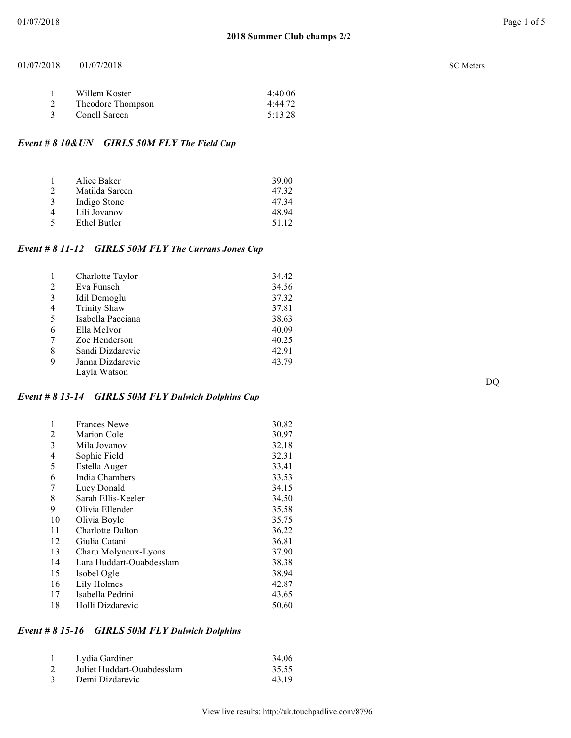| Willem Koster     | 4:40.06 |
|-------------------|---------|
| Theodore Thompson | 4:44.72 |
| Conell Sareen     | 5:13.28 |

# *Event # 8 10&UN GIRLS 50M FLY The Field Cup*

|                | Alice Baker    | 39.00 |
|----------------|----------------|-------|
| $\mathcal{D}$  | Matilda Sareen | 47.32 |
| -3             | Indigo Stone   | 4734  |
| $\overline{4}$ | Lili Jovanov   | 48 94 |
| $\sim$         | Ethel Butler   | 51 12 |

# *Event # 8 11-12 GIRLS 50M FLY The Currans Jones Cup*

| 1 | Charlotte Taylor    | 34.42 |
|---|---------------------|-------|
| 2 | Eva Funsch          | 34.56 |
| 3 | Idil Demoglu        | 37.32 |
| 4 | <b>Trinity Shaw</b> | 37.81 |
| 5 | Isabella Pacciana   | 38.63 |
| 6 | Ella McIvor         | 40.09 |
| 7 | Zoe Henderson       | 40.25 |
| 8 | Sandi Dizdarevic    | 42.91 |
| 9 | Janna Dizdarevic    | 43.79 |
|   | Layla Watson        |       |

## *Event # 8 13-14 GIRLS 50M FLY Dulwich Dolphins Cup*

| 1  | <b>Frances Newe</b>      | 30.82 |
|----|--------------------------|-------|
| 2  | <b>Marion Cole</b>       | 30.97 |
| 3  | Mila Jovanov             | 32.18 |
| 4  | Sophie Field             | 32.31 |
| 5  | Estella Auger            | 33.41 |
| 6  | India Chambers           | 33.53 |
| 7  | Lucy Donald              | 34.15 |
| 8  | Sarah Ellis-Keeler       | 34.50 |
| 9  | Olivia Ellender          | 35.58 |
| 10 | Olivia Boyle             | 35.75 |
| 11 | <b>Charlotte Dalton</b>  | 36.22 |
| 12 | Giulia Catani            | 36.81 |
| 13 | Charu Molyneux-Lyons     | 37.90 |
| 14 | Lara Huddart-Ouabdesslam | 38.38 |
| 15 | Isobel Ogle              | 38.94 |
| 16 | Lily Holmes              | 42.87 |
| 17 | Isabella Pedrini         | 43.65 |
| 18 | Holli Dizdarevic         | 50.60 |

# *Event # 8 15-16 GIRLS 50M FLY Dulwich Dolphins*

| Lydia Gardiner             | 34.06 |
|----------------------------|-------|
| Juliet Huddart-Ouabdesslam | 35.55 |
| Demi Dizdarevic            | 43.19 |

DQ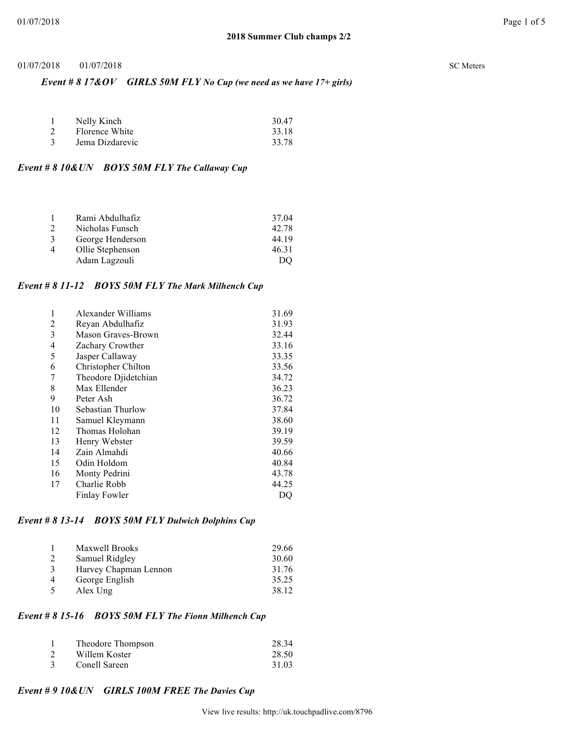### *Event # 8 17&OV GIRLS 50M FLY No Cup (we need as we have 17+ girls)*

|   | Nelly Kinch     | 30.47 |
|---|-----------------|-------|
|   | Florence White  | 33.18 |
| 3 | Jema Dizdarevic | 33.78 |

#### *Event # 8 10&UN BOYS 50M FLY The Callaway Cup*

|                | Rami Abdulhafiz  | 37.04 |
|----------------|------------------|-------|
| $\overline{2}$ | Nicholas Funsch  | 42.78 |
| 3              | George Henderson | 44 19 |
| $\overline{4}$ | Ollie Stephenson | 46.31 |
|                | Adam Lagzouli    | DO    |

#### *Event # 8 11-12 BOYS 50M FLY The Mark Milhench Cup*

| 1  | Alexander Williams   | 31.69 |
|----|----------------------|-------|
| 2  | Reyan Abdulhafiz     | 31.93 |
| 3  | Mason Graves-Brown   | 32.44 |
| 4  | Zachary Crowther     | 33.16 |
| 5  | Jasper Callaway      | 33.35 |
| 6  | Christopher Chilton  | 33.56 |
| 7  | Theodore Djidetchian | 34.72 |
| 8  | Max Ellender         | 36.23 |
| 9  | Peter Ash            | 36.72 |
| 10 | Sebastian Thurlow    | 37.84 |
| 11 | Samuel Kleymann      | 38.60 |
| 12 | Thomas Holohan       | 39.19 |
| 13 | Henry Webster        | 39.59 |
| 14 | Zain Almahdi         | 40.66 |
| 15 | Odin Holdom          | 40.84 |
| 16 | Monty Pedrini        | 43.78 |
| 17 | Charlie Robb         | 44.25 |
|    | Finlay Fowler        | DO    |

## *Event # 8 13-14 BOYS 50M FLY Dulwich Dolphins Cup*

|   | <b>Maxwell Brooks</b> | 29.66 |
|---|-----------------------|-------|
| 2 | Samuel Ridgley        | 30.60 |
| 3 | Harvey Chapman Lennon | 31.76 |
| 4 | George English        | 35.25 |
| 5 | Alex Ung              | 38.12 |

# *Event # 8 15-16 BOYS 50M FLY The Fionn Milhench Cup*

|               | Theodore Thompson | 28.34 |
|---------------|-------------------|-------|
|               | Willem Koster     | 28.50 |
| $\mathcal{R}$ | Conell Sareen     | 31.03 |

#### *Event # 9 10&UN GIRLS 100M FREE The Davies Cup*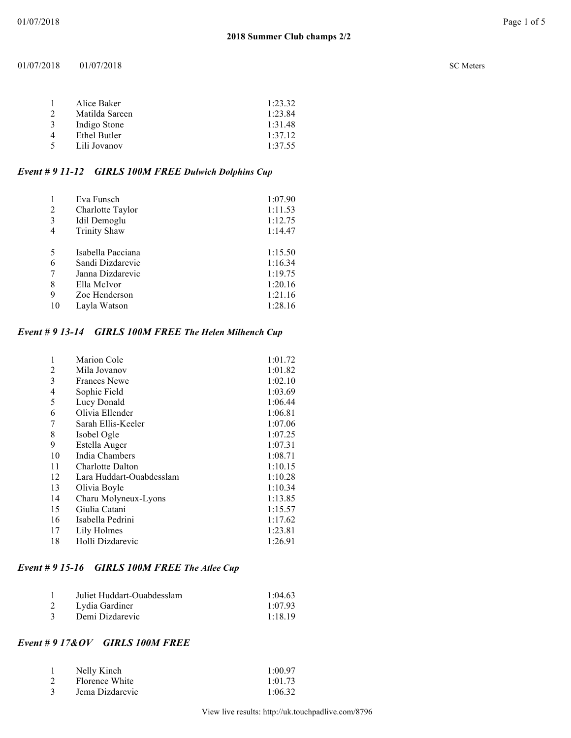#### $01/07/2018$   $01/07/2018$

| <b>SC</b> Meters |
|------------------|
|                  |

| Alice Baker    | 1:23.32 |
|----------------|---------|
| Matilda Sareen | 1:23.84 |
| Indigo Stone   | 1:31.48 |
| Ethel Butler   | 1.3712  |
| Lili Jovanov   | 1:37.55 |
|                |         |

# *Event # 9 11-12 GIRLS 100M FREE Dulwich Dolphins Cup*

|    | Eva Funsch          | 1:07.90 |
|----|---------------------|---------|
| 2  | Charlotte Taylor    | 1:11.53 |
| 3  | Idil Demoglu        | 1:12.75 |
| 4  | <b>Trinity Shaw</b> | 1:14.47 |
|    |                     |         |
| 5  | Isabella Pacciana   | 1:15.50 |
| 6  | Sandi Dizdarevic    | 1:16.34 |
|    | Janna Dizdarevic    | 1:19.75 |
| 8  | Ella McIvor         | 1:20.16 |
| 9  | Zoe Henderson       | 1:21.16 |
| 10 | Lavla Watson        | 1:28.16 |

# *Event # 9 13-14 GIRLS 100M FREE The Helen Milhench Cup*

| 1  | <b>Marion Cole</b>       | 1:01.72 |
|----|--------------------------|---------|
| 2  | Mila Jovanov             | 1:01.82 |
| 3  | <b>Frances Newe</b>      | 1:02.10 |
| 4  | Sophie Field             | 1:03.69 |
| 5  | Lucy Donald              | 1:06.44 |
| 6  | Olivia Ellender          | 1:06.81 |
| 7  | Sarah Ellis-Keeler       | 1:07.06 |
| 8  | Isobel Ogle              | 1:07.25 |
| 9  | Estella Auger            | 1:07.31 |
| 10 | India Chambers           | 1:08.71 |
| 11 | Charlotte Dalton         | 1:10.15 |
| 12 | Lara Huddart-Ouabdesslam | 1:10.28 |
| 13 | Olivia Boyle             | 1:10.34 |
| 14 | Charu Molyneux-Lyons     | 1:13.85 |
| 15 | Giulia Catani            | 1:15.57 |
| 16 | Isabella Pedrini         | 1:17.62 |
| 17 | Lily Holmes              | 1:23.81 |
| 18 | Holli Dizdarevic         | 1:26.91 |

# *Event # 9 15-16 GIRLS 100M FREE The Atlee Cup*

|               | Juliet Huddart-Ouabdesslam | 1:04.63 |
|---------------|----------------------------|---------|
|               | Lydia Gardiner             | 1.0793  |
| $\mathcal{R}$ | Demi Dizdarevic            | 1.1819  |

# *Event # 9 17&OV GIRLS 100M FREE*

| Nelly Kinch     | 1:00.97 |
|-----------------|---------|
| Florence White  | 1:01.73 |
| Jema Dizdarevic | 1:06.32 |